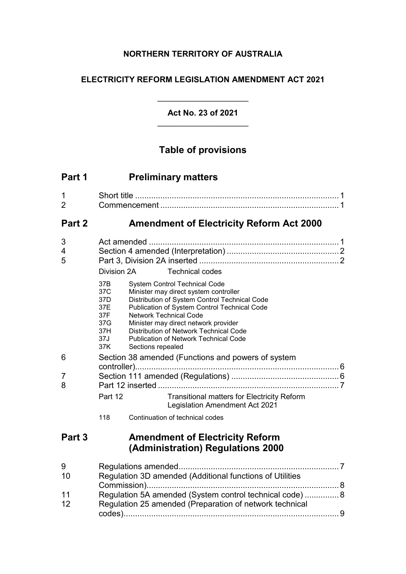## **NORTHERN TERRITORY OF AUSTRALIA**

## **ELECTRICITY REFORM LEGISLATION AMENDMENT ACT 2021**

**Act No. 23 of 2021**

 $\overline{\phantom{a}}$  , where  $\overline{\phantom{a}}$ 

# **Table of provisions**

| Part 1              | <b>Preliminary matters</b>                                                                                                                                                                                                                                                                                                                                                                                                                   |
|---------------------|----------------------------------------------------------------------------------------------------------------------------------------------------------------------------------------------------------------------------------------------------------------------------------------------------------------------------------------------------------------------------------------------------------------------------------------------|
| 1<br>$\overline{2}$ |                                                                                                                                                                                                                                                                                                                                                                                                                                              |
| Part 2              | <b>Amendment of Electricity Reform Act 2000</b>                                                                                                                                                                                                                                                                                                                                                                                              |
| 3<br>4<br>5         | Division 2A<br><b>Technical codes</b>                                                                                                                                                                                                                                                                                                                                                                                                        |
|                     | 37B<br><b>System Control Technical Code</b><br>37C<br>Minister may direct system controller<br>Distribution of System Control Technical Code<br>37D<br>37E<br>Publication of System Control Technical Code<br>37F<br><b>Network Technical Code</b><br>37G<br>Minister may direct network provider<br>37H<br><b>Distribution of Network Technical Code</b><br><b>Publication of Network Technical Code</b><br>37J<br>37K<br>Sections repealed |
| 6                   | Section 38 amended (Functions and powers of system                                                                                                                                                                                                                                                                                                                                                                                           |
| $\overline{7}$<br>8 | <b>Transitional matters for Electricity Reform</b><br>Part 12                                                                                                                                                                                                                                                                                                                                                                                |
|                     | <b>Legislation Amendment Act 2021</b>                                                                                                                                                                                                                                                                                                                                                                                                        |
|                     | 118<br>Continuation of technical codes                                                                                                                                                                                                                                                                                                                                                                                                       |
| Part 3              | <b>Amendment of Electricity Reform</b><br>(Administration) Regulations 2000                                                                                                                                                                                                                                                                                                                                                                  |
| 9<br>10             | Regulation 3D amended (Additional functions of Utilities                                                                                                                                                                                                                                                                                                                                                                                     |
| 11<br>12            | Regulation 5A amended (System control technical code)  8<br>Regulation 25 amended (Preparation of network technical                                                                                                                                                                                                                                                                                                                          |
|                     |                                                                                                                                                                                                                                                                                                                                                                                                                                              |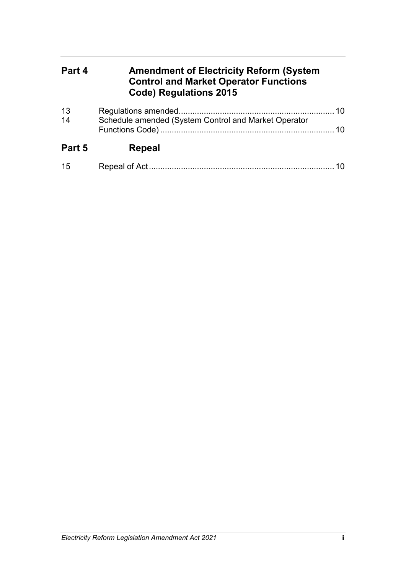# **Part 4 Amendment of Electricity Reform (System Control and Market Operator Functions Code) Regulations 2015**

| 13<br>14 | Schedule amended (System Control and Market Operator |    |
|----------|------------------------------------------------------|----|
| Part 5   | Repeal                                               |    |
| 15       |                                                      | 10 |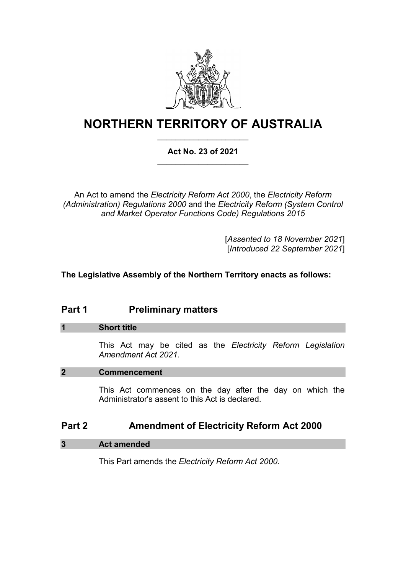

# **NORTHERN TERRITORY OF AUSTRALIA** \_\_\_\_\_\_\_\_\_\_\_\_\_\_\_\_\_\_\_\_

### **Act No. 23 of 2021** \_\_\_\_\_\_\_\_\_\_\_\_\_\_\_\_\_\_\_\_

An Act to amend the *Electricity Reform Act 2000*, the *Electricity Reform (Administration) Regulations 2000* and the *Electricity Reform (System Control and Market Operator Functions Code) Regulations 2015*

> [*Assented to 18 November 2021*] [*Introduced 22 September 2021*]

#### **The Legislative Assembly of the Northern Territory enacts as follows:**

# **Part 1 Preliminary matters**

#### **1 Short title**

This Act may be cited as the *Electricity Reform Legislation Amendment Act 2021*.

#### **2 Commencement**

This Act commences on the day after the day on which the Administrator's assent to this Act is declared.

## **Part 2 Amendment of Electricity Reform Act 2000**

#### **3 Act amended**

This Part amends the *Electricity Reform Act 2000*.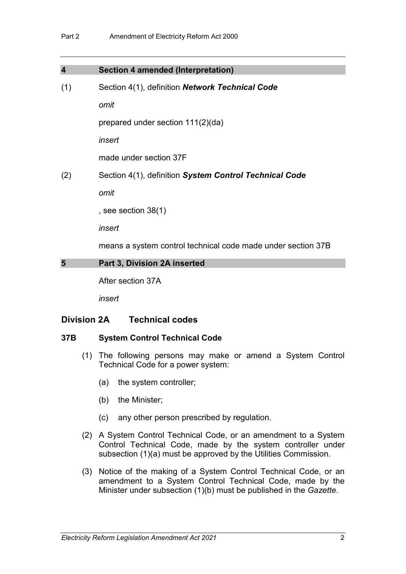| $\overline{\mathbf{4}}$ | <b>Section 4 amended (Interpretation)</b>                    |
|-------------------------|--------------------------------------------------------------|
| (1)                     | Section 4(1), definition Network Technical Code              |
|                         | omit                                                         |
|                         | prepared under section $111(2)(da)$                          |
|                         | insert                                                       |
|                         | made under section 37F                                       |
| (2)                     | Section 4(1), definition System Control Technical Code       |
|                         | omit                                                         |
|                         | , see section $38(1)$                                        |
|                         | insert                                                       |
|                         | means a system control technical code made under section 37B |
| 5                       | Part 3, Division 2A inserted                                 |
|                         | After section 37A                                            |
|                         | insert                                                       |

#### **Division 2A Technical codes**

#### **37B System Control Technical Code**

- (1) The following persons may make or amend a System Control Technical Code for a power system:
	- (a) the system controller;
	- (b) the Minister;
	- (c) any other person prescribed by regulation.
- (2) A System Control Technical Code, or an amendment to a System Control Technical Code, made by the system controller under subsection (1)(a) must be approved by the Utilities Commission.
- (3) Notice of the making of a System Control Technical Code, or an amendment to a System Control Technical Code, made by the Minister under subsection (1)(b) must be published in the *Gazette*.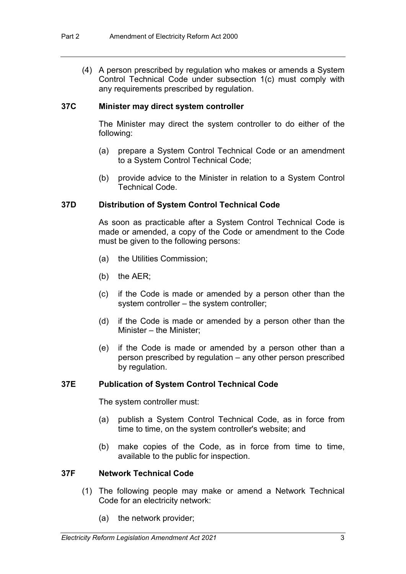(4) A person prescribed by regulation who makes or amends a System Control Technical Code under subsection 1(c) must comply with any requirements prescribed by regulation.

#### **37C Minister may direct system controller**

The Minister may direct the system controller to do either of the following:

- (a) prepare a System Control Technical Code or an amendment to a System Control Technical Code;
- (b) provide advice to the Minister in relation to a System Control Technical Code.

#### **37D Distribution of System Control Technical Code**

As soon as practicable after a System Control Technical Code is made or amended, a copy of the Code or amendment to the Code must be given to the following persons:

- (a) the Utilities Commission;
- (b) the AER;
- (c) if the Code is made or amended by a person other than the system controller – the system controller;
- (d) if the Code is made or amended by a person other than the Minister – the Minister;
- (e) if the Code is made or amended by a person other than a person prescribed by regulation – any other person prescribed by regulation.

#### **37E Publication of System Control Technical Code**

The system controller must:

- (a) publish a System Control Technical Code, as in force from time to time, on the system controller's website; and
- (b) make copies of the Code, as in force from time to time, available to the public for inspection.

#### **37F Network Technical Code**

- (1) The following people may make or amend a Network Technical Code for an electricity network:
	- (a) the network provider;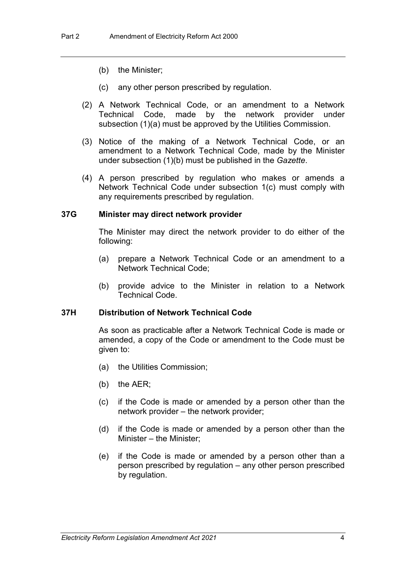- (b) the Minister;
- (c) any other person prescribed by regulation.
- (2) A Network Technical Code, or an amendment to a Network Technical Code, made by the network provider under subsection (1)(a) must be approved by the Utilities Commission.
- (3) Notice of the making of a Network Technical Code, or an amendment to a Network Technical Code, made by the Minister under subsection (1)(b) must be published in the *Gazette*.
- (4) A person prescribed by regulation who makes or amends a Network Technical Code under subsection 1(c) must comply with any requirements prescribed by regulation.

#### **37G Minister may direct network provider**

The Minister may direct the network provider to do either of the following:

- (a) prepare a Network Technical Code or an amendment to a Network Technical Code;
- (b) provide advice to the Minister in relation to a Network Technical Code.

#### **37H Distribution of Network Technical Code**

As soon as practicable after a Network Technical Code is made or amended, a copy of the Code or amendment to the Code must be given to:

- (a) the Utilities Commission;
- (b) the AER;
- (c) if the Code is made or amended by a person other than the network provider – the network provider;
- (d) if the Code is made or amended by a person other than the Minister – the Minister;
- (e) if the Code is made or amended by a person other than a person prescribed by regulation – any other person prescribed by regulation.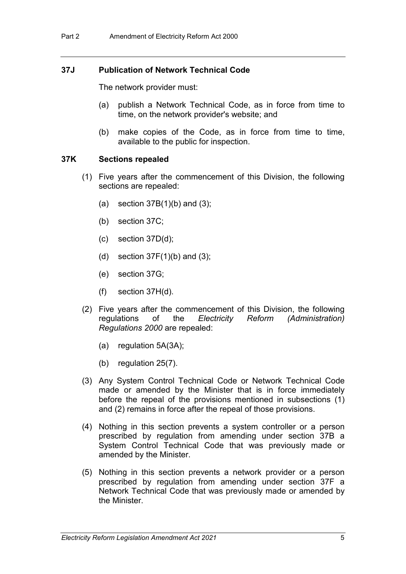#### **37J Publication of Network Technical Code**

The network provider must:

- (a) publish a Network Technical Code, as in force from time to time, on the network provider's website; and
- (b) make copies of the Code, as in force from time to time, available to the public for inspection.

#### **37K Sections repealed**

- (1) Five years after the commencement of this Division, the following sections are repealed:
	- (a) section  $37B(1)(b)$  and  $(3)$ ;
	- (b) section 37C;
	- (c) section 37D(d);
	- (d) section  $37F(1)(b)$  and  $(3)$ ;
	- (e) section 37G;
	- (f) section 37H(d).
- (2) Five years after the commencement of this Division, the following regulations of the *Electricity Reform (Administration) Regulations 2000* are repealed:
	- (a) regulation 5A(3A);
	- (b) regulation 25(7).
- (3) Any System Control Technical Code or Network Technical Code made or amended by the Minister that is in force immediately before the repeal of the provisions mentioned in subsections (1) and (2) remains in force after the repeal of those provisions.
- (4) Nothing in this section prevents a system controller or a person prescribed by regulation from amending under section 37B a System Control Technical Code that was previously made or amended by the Minister.
- (5) Nothing in this section prevents a network provider or a person prescribed by regulation from amending under section 37F a Network Technical Code that was previously made or amended by the Minister.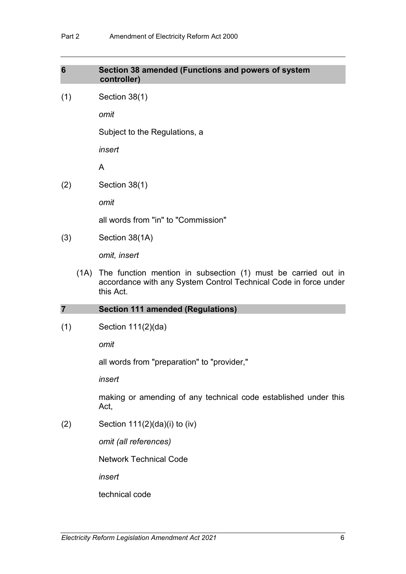# **6 Section 38 amended (Functions and powers of system controller)** (1) Section 38(1) *omit* Subject to the Regulations, a *insert* A (2) Section 38(1) *omit* all words from "in" to "Commission" (3) Section 38(1A) *omit, insert* (1A) The function mention in subsection (1) must be carried out in accordance with any System Control Technical Code in force under this Act.

#### **7 Section 111 amended (Regulations)**

(1) Section 111(2)(da)

*omit*

all words from "preparation" to "provider,"

*insert*

making or amending of any technical code established under this Act,

(2) Section  $111(2)(da)(i)$  to  $(iv)$ 

*omit (all references)*

Network Technical Code

*insert*

technical code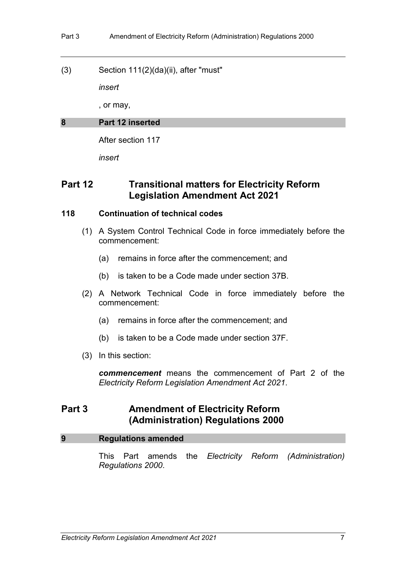(3) Section 111(2)(da)(ii), after "must"

*insert*

, or may,

#### **8 Part 12 inserted**

After section 117

*insert*

# **Part 12 Transitional matters for Electricity Reform Legislation Amendment Act 2021**

#### **118 Continuation of technical codes**

- (1) A System Control Technical Code in force immediately before the commencement:
	- (a) remains in force after the commencement; and
	- (b) is taken to be a Code made under section 37B.
- (2) A Network Technical Code in force immediately before the commencement:
	- (a) remains in force after the commencement; and
	- (b) is taken to be a Code made under section 37F.
- (3) In this section:

*commencement* means the commencement of Part 2 of the *Electricity Reform Legislation Amendment Act 2021*.

# **Part 3 Amendment of Electricity Reform (Administration) Regulations 2000**

#### **9 Regulations amended**

This Part amends the *Electricity Reform (Administration) Regulations 2000*.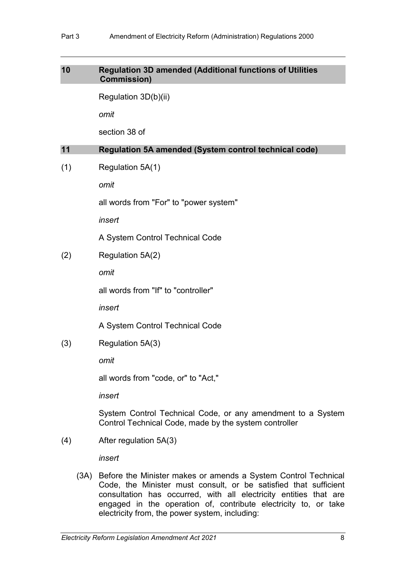#### **10 Regulation 3D amended (Additional functions of Utilities Commission)**

Regulation 3D(b)(ii)

*omit*

section 38 of

#### **11 Regulation 5A amended (System control technical code)**

(1) Regulation 5A(1)

*omit*

all words from "For" to "power system"

*insert*

A System Control Technical Code

(2) Regulation 5A(2)

*omit*

all words from "If" to "controller"

*insert*

A System Control Technical Code

(3) Regulation 5A(3)

*omit* 

all words from "code, or" to "Act,"

*insert*

System Control Technical Code, or any amendment to a System Control Technical Code, made by the system controller

(4) After regulation 5A(3)

*insert*

(3A) Before the Minister makes or amends a System Control Technical Code, the Minister must consult, or be satisfied that sufficient consultation has occurred, with all electricity entities that are engaged in the operation of, contribute electricity to, or take electricity from, the power system, including: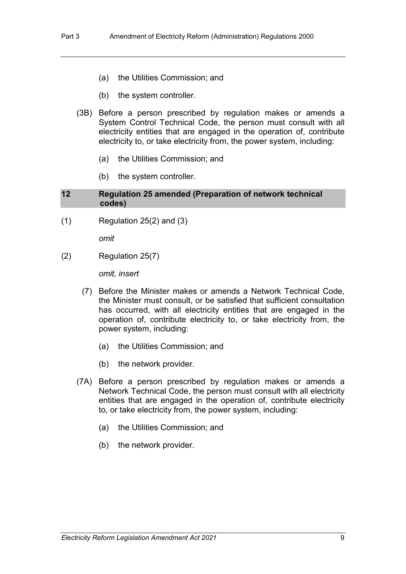- (a) the Utilities Commission; and
- (b) the system controller.
- (3B) Before a person prescribed by regulation makes or amends a System Control Technical Code, the person must consult with all electricity entities that are engaged in the operation of, contribute electricity to, or take electricity from, the power system, including:
	- (a) the Utilities Commission; and
	- (b) the system controller.

#### **12 Regulation 25 amended (Preparation of network technical codes)**

 $(1)$  Regulation 25 $(2)$  and  $(3)$ 

*omit*

(2) Regulation 25(7)

*omit, insert*

- (7) Before the Minister makes or amends a Network Technical Code, the Minister must consult, or be satisfied that sufficient consultation has occurred, with all electricity entities that are engaged in the operation of, contribute electricity to, or take electricity from, the power system, including:
	- (a) the Utilities Commission; and
	- (b) the network provider.
- (7A) Before a person prescribed by regulation makes or amends a Network Technical Code, the person must consult with all electricity entities that are engaged in the operation of, contribute electricity to, or take electricity from, the power system, including:
	- (a) the Utilities Commission; and
	- (b) the network provider.